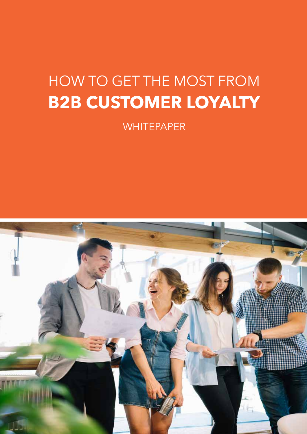# HOW TO GET THE MOST FROM **B2B CUSTOMER LOYALTY**

**WHITEPAPER** 

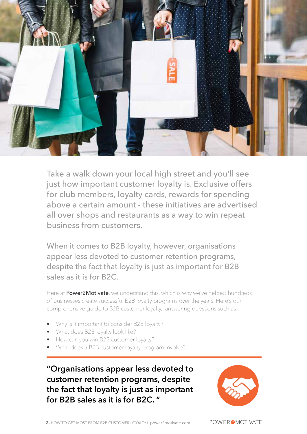

Take a walk down your local high street and you'll see just how important customer loyalty is. Exclusive offers for club members, loyalty cards, rewards for spending above a certain amount - these initiatives are advertised all over shops and restaurants as a way to win repeat business from customers.

When it comes to B2B loyalty, however, organisations appear less devoted to customer retention programs, despite the fact that loyalty is just as important for B2B sales as it is for B2C.

Here at **Power2Motivate**, we understand this, which is why we've helped hundreds of businesses create successful B2B loyalty programs over the years. Here's our comprehensive guide to B2B customer loyalty, answering questions such as:

- Why is it important to consider B2B loyalty?
- What does B2B loyalty look like?
- How can you win B2B customer loyalty?
- What does a B2B customer loyalty program involve?

**"Organisations appear less devoted to customer retention programs, despite the fact that loyalty is just as important for B2B sales as it is for B2C. "**

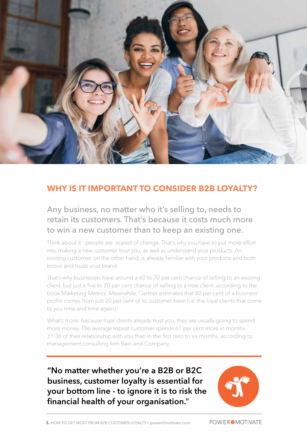

#### **WHY IS IT IMPORTANT TO CONSIDER B2B LOYALTY?**

Any business, no matter who it's selling to, needs to retain its customers. That's because it costs much more to win a new customer than to keep an existing one.

Think about it - people are scared of change. That's why you have to put more effort into making a new customer trust you, as well as understand your products. An existing customer, on the other hand, is already familiar with your products and both knows and trusts your brand.

That's why businesses have around a 60 to 70 per cent chance of selling to an existing client, but just a five to 20 per cent chance of selling to a new client, according to the book Marketing Metrics. Meanwhile, Gartner estimates that 80 per cent of a business' profits comes from just 20 per cent of its customer base (i.e. the loyal clients that come to you time and time again).

What's more, because loyal clients already trust you, they are usually going to spend more money. The average repeat customer spends 67 per cent more in months 31-36 of their relationship with you than in the first zero to six months, according to management consulting firm Bain and Company.

**"No matter whether you're a B2B or B2C business, customer loyalty is essential for your bottom line - to ignore it is to risk the financial health of your organisation."**

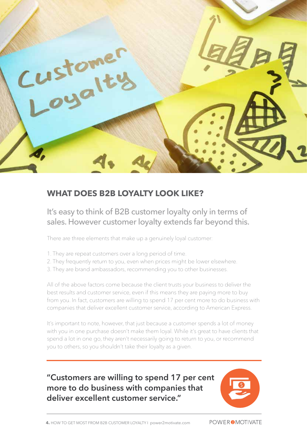

#### **WHAT DOES B2B LOYALTY LOOK LIKE?**

It's easy to think of B2B customer loyalty only in terms of sales. However customer loyalty extends far beyond this.

There are three elements that make up a genuinely loyal customer:

- 1. They are repeat customers over a long period of time.
- 2. They frequently return to you, even when prices might be lower elsewhere.
- 3. They are brand ambassadors, recommending you to other businesses.

All of the above factors come because the client trusts your business to deliver the best results and customer service, even if this means they are paying more to buy from you. In fact, customers are willing to spend 17 per cent more to do business with companies that deliver excellent customer service, according to American Express.

It's important to note, however, that just because a customer spends a lot of money with you in one purchase doesn't make them loyal. While it's great to have clients that spend a lot in one go, they aren't necessarily going to return to you, or recommend you to others, so you shouldn't take their loyalty as a given.

## **"Customers are willing to spend 17 per cent more to do business with companies that deliver excellent customer service."**

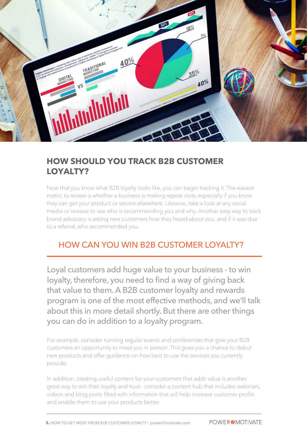

#### **HOW SHOULD YOU TRACK B2B CUSTOMER LOYALTY?**

Now that you know what B2B loyalty looks like, you can begin tracking it. The easiest metric to review is whether a business is making repeat visits, especially if you know they can get your product or service elsewhere. Likewise, take a look at any social media or reviews to see who is recommending you and why. Another easy way to track brand advocacy is asking new customers how they heard about you, and if it was due to a referral, who recommended you.

# HOW CAN YOU WIN B2B CUSTOMER LOYALTY?

Loyal customers add huge value to your business - to win loyalty, therefore, you need to find a way of giving back that value to them. A B2B customer loyalty and rewards program is one of the most effective methods, and we'll talk about this in more detail shortly. But there are other things you can do in addition to a loyalty program.

For example, consider running regular events and conferences that give your B2B customers an opportunity to meet you in person. This gives you a chance to debut new products and offer guidance on how best to use the services you currently provide.

In addition, creating useful content for your customers that adds value is another great way to win their loyalty and trust - consider a content hub that includes webinars, videos and blog posts filled with information that will help increase customer profits and enable them to use your products better.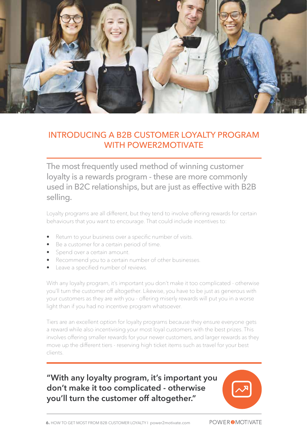

#### INTRODUCING A B2B CUSTOMER LOYALTY PROGRAM WITH POWER2MOTIVATE

The most frequently used method of winning customer loyalty is a rewards program - these are more commonly used in B2C relationships, but are just as effective with B2B selling.

Loyalty programs are all different, but they tend to involve offering rewards for certain behaviours that you want to encourage. That could include incentives to:

- Return to your business over a specific number of visits.
- Be a customer for a certain period of time.
- Spend over a certain amount.
- Recommend you to a certain number of other businesses.
- Leave a specified number of reviews.

With any loyalty program, it's important you don't make it too complicated - otherwise you'll turn the customer off altogether. Likewise, you have to be just as generous with your customers as they are with you - offering miserly rewards will put you in a worse light than if you had no incentive program whatsoever.

Tiers are an excellent option for loyalty programs because they ensure everyone gets a reward while also incentivising your most loyal customers with the best prizes. This involves offering smaller rewards for your newer customers, and larger rewards as they move up the different tiers - reserving high ticket items such as travel for your best clients.

# **"With any loyalty program, it's important you don't make it too complicated - otherwise you'll turn the customer off altogether."**